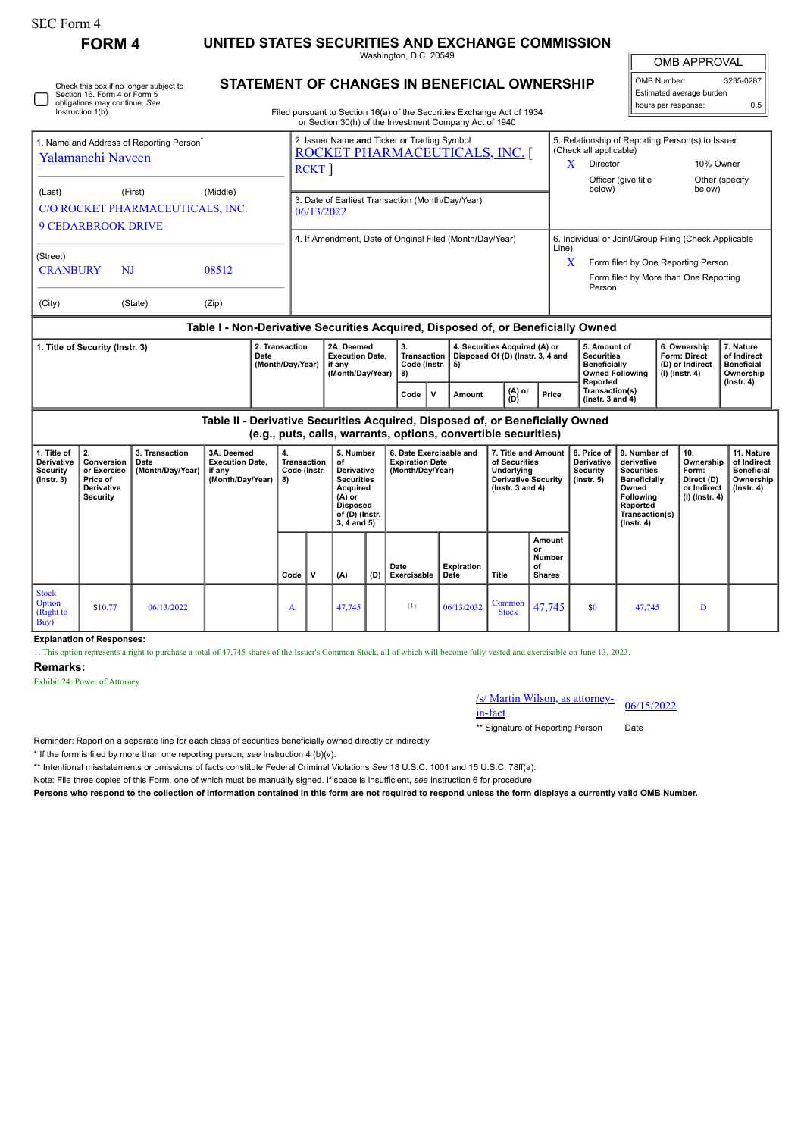| SEC Form 4 |  |
|------------|--|
|            |  |

## **FORM 4 UNITED STATES SECURITIES AND EXCHANGE COMMISSION**

Washington, D.C. 20549

| <b>OMB APPROVAL</b>         |           |  |  |  |  |  |  |  |  |
|-----------------------------|-----------|--|--|--|--|--|--|--|--|
| OMB Number:                 | 3235-0287 |  |  |  |  |  |  |  |  |
| Fatherstad accounts because |           |  |  |  |  |  |  |  |  |

| STATEMENT OF CHANGES IN BENEFICIAL OWNERSHIP<br>Check this box if no longer subject to<br>Section 16. Form 4 or Form 5<br>obligations may continue. See<br>Instruction 1(b).<br>Filed pursuant to Section 16(a) of the Securities Exchange Act of 1934<br>or Section 30(h) of the Investment Company Act of 1940 |                                                                                                                                                                                                         |                                             |                                                                                  |  |                                                                                        |                                                                                                                            |                                                                                                                                    |          |                                                                                                        |             | OMB Number:<br>3235-0287<br>Estimated average burden<br>hours per response:<br>0.5                         |                                                                                         |                                                                  |                                                                                                                                                     |                                 |                                                                                |                                                                           |                             |
|------------------------------------------------------------------------------------------------------------------------------------------------------------------------------------------------------------------------------------------------------------------------------------------------------------------|---------------------------------------------------------------------------------------------------------------------------------------------------------------------------------------------------------|---------------------------------------------|----------------------------------------------------------------------------------|--|----------------------------------------------------------------------------------------|----------------------------------------------------------------------------------------------------------------------------|------------------------------------------------------------------------------------------------------------------------------------|----------|--------------------------------------------------------------------------------------------------------|-------------|------------------------------------------------------------------------------------------------------------|-----------------------------------------------------------------------------------------|------------------------------------------------------------------|-----------------------------------------------------------------------------------------------------------------------------------------------------|---------------------------------|--------------------------------------------------------------------------------|---------------------------------------------------------------------------|-----------------------------|
| 1. Name and Address of Reporting Person <sup>®</sup><br>Yalamanchi Naveen                                                                                                                                                                                                                                        |                                                                                                                                                                                                         |                                             |                                                                                  |  |                                                                                        | 2. Issuer Name and Ticker or Trading Symbol<br>ROCKET PHARMACEUTICALS, INC. [<br>RCKT                                      |                                                                                                                                    |          |                                                                                                        |             |                                                                                                            |                                                                                         |                                                                  | (Check all applicable)<br>Director<br>X.                                                                                                            | Officer (give title             | 5. Relationship of Reporting Person(s) to Issuer                               |                                                                           | 10% Owner<br>Other (specify |
| (Last)                                                                                                                                                                                                                                                                                                           | <b>9 CEDARBROOK DRIVE</b>                                                                                                                                                                               | (First)<br>C/O ROCKET PHARMACEUTICALS, INC. | (Middle)                                                                         |  |                                                                                        | 3. Date of Earliest Transaction (Month/Day/Year)<br>06/13/2022<br>4. If Amendment, Date of Original Filed (Month/Day/Year) |                                                                                                                                    |          |                                                                                                        |             |                                                                                                            |                                                                                         |                                                                  | below)                                                                                                                                              |                                 |                                                                                | below)                                                                    |                             |
| (Street)<br><b>CRANBURY</b><br>(City)                                                                                                                                                                                                                                                                            | NJ                                                                                                                                                                                                      | (State)                                     | 08512<br>(Zip)                                                                   |  |                                                                                        |                                                                                                                            |                                                                                                                                    |          |                                                                                                        |             |                                                                                                            |                                                                                         | Line)                                                            | 6. Individual or Joint/Group Filing (Check Applicable<br>Form filed by One Reporting Person<br>X<br>Form filed by More than One Reporting<br>Person |                                 |                                                                                |                                                                           |                             |
|                                                                                                                                                                                                                                                                                                                  |                                                                                                                                                                                                         |                                             | Table I - Non-Derivative Securities Acquired, Disposed of, or Beneficially Owned |  |                                                                                        |                                                                                                                            |                                                                                                                                    |          |                                                                                                        |             |                                                                                                            |                                                                                         |                                                                  |                                                                                                                                                     |                                 |                                                                                |                                                                           |                             |
| 2. Transaction<br>1. Title of Security (Instr. 3)<br>Date                                                                                                                                                                                                                                                        |                                                                                                                                                                                                         |                                             |                                                                                  |  | 2A. Deemed<br><b>Execution Date.</b><br>(Month/Day/Year)<br>if any<br>(Month/Day/Year) |                                                                                                                            |                                                                                                                                    | 3.<br>8) | 4. Securities Acquired (A) or<br>Transaction<br>Disposed Of (D) (Instr. 3, 4 and<br>Code (Instr.<br>5) |             |                                                                                                            | 5. Amount of<br><b>Securities</b><br>Beneficially<br><b>Owned Following</b><br>Reported |                                                                  | Form: Direct<br>$(I)$ (Instr. 4)                                                                                                                    | 6. Ownership<br>(D) or Indirect | 7. Nature<br>of Indirect<br><b>Beneficial</b><br>Ownership<br>$($ Instr. 4 $)$ |                                                                           |                             |
|                                                                                                                                                                                                                                                                                                                  |                                                                                                                                                                                                         |                                             |                                                                                  |  |                                                                                        |                                                                                                                            |                                                                                                                                    |          | Code                                                                                                   | $\mathbf v$ | Amount                                                                                                     | (A) or<br>(D)<br>Price                                                                  |                                                                  | Transaction(s)<br>(Instr. $3$ and $4$ )                                                                                                             |                                 |                                                                                |                                                                           |                             |
| Table II - Derivative Securities Acquired, Disposed of, or Beneficially Owned<br>(e.g., puts, calls, warrants, options, convertible securities)                                                                                                                                                                  |                                                                                                                                                                                                         |                                             |                                                                                  |  |                                                                                        |                                                                                                                            |                                                                                                                                    |          |                                                                                                        |             |                                                                                                            |                                                                                         |                                                                  |                                                                                                                                                     |                                 |                                                                                |                                                                           |                             |
| 1. Title of<br><b>Derivative</b><br><b>Security</b><br>$($ Instr. 3 $)$                                                                                                                                                                                                                                          | 2.<br>3A. Deemed<br>3. Transaction<br><b>Execution Date.</b><br>Conversion<br>Date<br>or Exercise<br>(Month/Day/Year)<br>if any<br>(Month/Day/Year)<br>Price of<br><b>Derivative</b><br><b>Security</b> |                                             |                                                                                  |  | 4.<br><b>Transaction</b><br>Code (Instr.<br>8)                                         |                                                                                                                            | 5. Number<br>of<br>Derivative<br><b>Securities</b><br>Acquired<br>$(A)$ or<br><b>Disposed</b><br>of (D) (Instr.<br>$3, 4$ and $5)$ |          | 6. Date Exercisable and<br><b>Expiration Date</b><br>(Month/Day/Year)                                  |             | 7. Title and Amount<br>of Securities<br>Underlying<br><b>Derivative Security</b><br>$($ lnstr. 3 and 4 $)$ |                                                                                         | 8. Price of<br><b>Derivative</b><br>Security<br>$($ lnstr. 5 $)$ | 9. Number of<br>derivative<br><b>Securities</b><br>Beneficially<br>Owned<br>Following<br>Reported<br>Transaction(s)<br>$($ lnstr. 4 $)$             |                                 | 10.<br>Ownership<br>Form:<br>Direct (D)<br>or Indirect<br>$(I)$ (Instr. 4)     | 11. Nature<br>of Indirect<br><b>Beneficial</b><br>Ownership<br>(Instr. 4) |                             |
|                                                                                                                                                                                                                                                                                                                  |                                                                                                                                                                                                         |                                             |                                                                                  |  | Code                                                                                   | v                                                                                                                          | (A)                                                                                                                                | (D)      | Date<br>Exercisable                                                                                    |             | <b>Expiration</b><br>Date                                                                                  | Title                                                                                   | Amount<br>or<br><b>Number</b><br>οf<br><b>Shares</b>             |                                                                                                                                                     |                                 |                                                                                |                                                                           |                             |
| <b>Stock</b><br>Option<br>(Right to<br>Buy)                                                                                                                                                                                                                                                                      | \$10.77                                                                                                                                                                                                 | 06/13/2022                                  |                                                                                  |  | A                                                                                      |                                                                                                                            | 47.745                                                                                                                             |          | (1)                                                                                                    |             | 06/13/2032                                                                                                 | Common<br><b>Stock</b>                                                                  | 47,745                                                           | \$0                                                                                                                                                 | 47.745                          |                                                                                | D                                                                         |                             |

**Explanation of Responses:**

1. This option represents a right to purchase a total of 47,745 shares of the Issuer's Common Stock, all of which will become fully vested and exercisable on June 13, 2023.

## **Remarks:**

Exhibit 24: Power of Attorney

## /s/ Martin Wilson, as attorney-in-fact 06/15/2022

\*\* Signature of Reporting Person Date

Reminder: Report on a separate line for each class of securities beneficially owned directly or indirectly.

\* If the form is filed by more than one reporting person, *see* Instruction 4 (b)(v).

\*\* Intentional misstatements or omissions of facts constitute Federal Criminal Violations *See* 18 U.S.C. 1001 and 15 U.S.C. 78ff(a).

Note: File three copies of this Form, one of which must be manually signed. If space is insufficient, *see* Instruction 6 for procedure.

**Persons who respond to the collection of information contained in this form are not required to respond unless the form displays a currently valid OMB Number.**